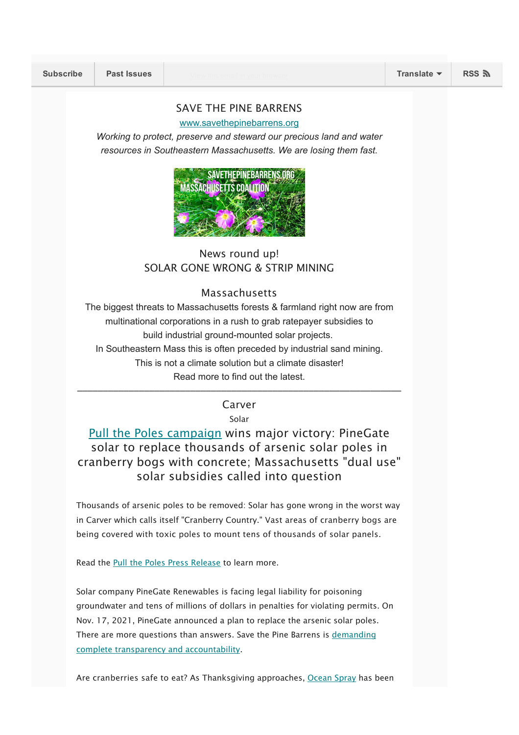#### SAVE THE PINE BARRENS

#### [www.savethepinebarrens.org](http://www.savethepinebarrens.org/)

*Working to protect, preserve and steward our precious land and water resources in Southeastern Massachusetts. We are losing them fast.*



# News round up! SOLAR GONE WRONG & STRIP MINING

### Massachusetts

The biggest threats to Massachusetts forests & farmland right now are from multinational corporations in a rush to grab ratepayer subsidies to build industrial ground-mounted solar projects. In Southeastern Mass this is often preceded by industrial sand mining. This is not a climate solution but a climate disaster! Read more to find out the latest.

––––––––––––––––––––––––––––––––––––––––––––––––––––––––––––––– Carver

Solar

# Pull the [Poles](https://pullthepoles.org/) [campaign](https://pullthepoles.org/) wins major victory: PineGate solar to replace thousands of arsenic solar poles in cranberry bogs with concrete; Massachusetts "dual use" solar subsidies called into question

Thousands of arsenic poles to be removed: Solar has gone wrong in the worst way in Carver which calls itself "Cranberry Country." Vast areas of cranberry bogs are being covered with toxic poles to mount tens of thousands of solar panels.

Read the Pull the Poles Press [Release](https://mailchi.mp/072071f3c5db/for-immediate-releaseis-arsenic-from-solar-panel-poles-poisoning-water-and-cranberry-bogs-are-southeastern-massachusetts-cranberries-safe-to-eat-51995?fbclid=IwAR2fw3k18M7IAIWBJm0ZRyVf3U0LmtCIrlpB_hzmTLlDoVvoATXLqy6V4BU) to learn more.

Solar company PineGate Renewables is facing legal liability for poisoning groundwater and tens of millions of dollars in penalties for violating permits. On Nov. 17, 2021, PineGate announced a plan to replace the arsenic solar poles. There are more questions than answers. Save the Pine Barrens is [demanding](https://savethepinebarrens.org/solar-2/) complete transparency and [accountability](https://savethepinebarrens.org/solar-2/).

Are cranberries safe to eat? As Thanksgiving approaches, [Ocean](http://oceanspray.com/) Spray has been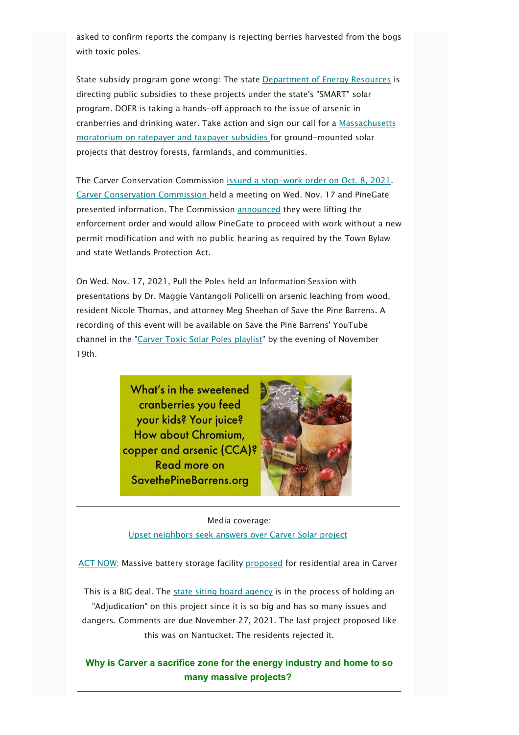asked to confirm reports the company is rejecting berries harvested from the bogs with toxic poles.

State subsidy program gone wrong: The state [Department](https://www.mass.gov/solar-massachusetts-renewable-target-smart) of Energy Resources is directing public subsidies to these projects under the state's "SMART" solar program. DOER is taking a hands-off approach to the issue of arsenic in cranberries and drinking water. Take action and sign our call for a [Massachusetts](https://actionnetwork.org/petitions/solar-energy-moratorium-petition) [moratorium](https://actionnetwork.org/petitions/solar-energy-moratorium-petition) on ratepayer and taxpayer subsidies for ground-mounted solar projects that destroy forests, farmlands, and communities.

The Carver Conservation Commission issued a [stop-work](https://www.wickedlocal.com/story/carver-reporter/2021/10/08/conservation-commission-reach-out-experts-use-treated-wood/6056687001/) order on Oct. 8, 2021. Carver [Conservation](https://www.carverma.gov/conservation-commission) Commission held a meeting on Wed. Nov. 17 and PineGate presented information. The Commission [announced](https://www.youtube.com/watch?v=DZjBmZ1saPo&list=PLDPhmu8GbbLJxRiw3Mjft05n_-C6fRqZ1&index=1) they were lifting the enforcement order and would allow PineGate to proceed with work without a new permit modification and with no public hearing as required by the Town Bylaw and state Wetlands Protection Act.

On Wed. Nov. 17, 2021, Pull the Poles held an Information Session with presentations by Dr. Maggie Vantangoli Policelli on arsenic leaching from wood, resident Nicole Thomas, and attorney Meg Sheehan of Save the Pine Barrens. A recording of this event will be available on Save the Pine Barrens' YouTube channel in the "Carver Toxic Solar Poles [playlist"](https://www.youtube.com/playlist?list=PLDPhmu8GbbLKbZBssCAlga3riMsG9F7_b) by the evening of November 19th.



Media coverage: Upset [neighbors](https://www.wickedlocal.com/story/carver-reporter/2021/10/06/carver-solar-projects-pine-gate-renewables-raise-questions/6016934001/) seek answers over Carver Solar project

–––––––––––––––––––––––––––––––––––––––––––––––––––––––––––––––

ACT [NOW:](https://savethepinebarrens.org/carver-ma-150-mw-lithium-ion-battery-storage-facility-proposed-for-residential-neighborhood/?preview_id=2070&preview_nonce=613328450a&preview=true) Massive battery storage facility [proposed](https://cranberrypointenergystorage.com/) for residential area in Carver

This is a BIG deal. The state siting board [agency](https://www.mass.gov/orgs/energy-facilities-siting-board) is in the process of holding an "Adjudication" on this project since it is so big and has so many issues and dangers. Comments are due November 27, 2021. The last project proposed like this was on Nantucket. The residents rejected it.

Why is Carver a sacrifice zone for the energy industry and home to so many massive projects?

–––––––––––––––––––––––––––––––––––––––––––––––––––––––––––––––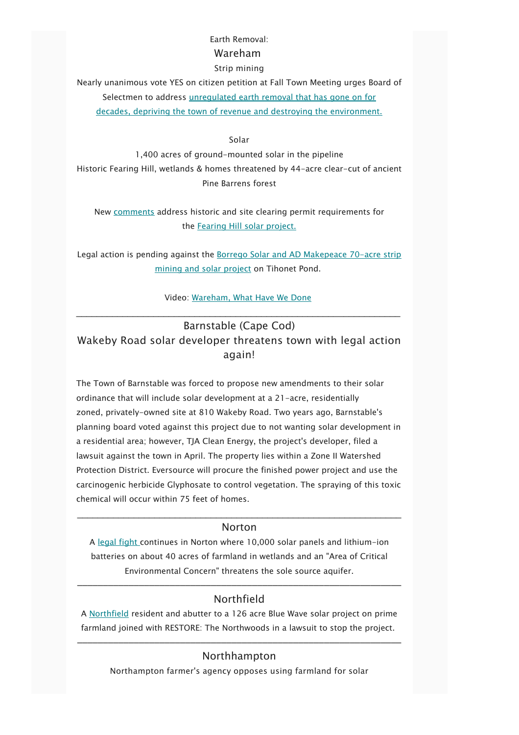### Earth Removal:

### Wareham

#### Strip mining

Nearly unanimous vote YES on citizen petition at Fall Town Meeting urges Board of Selectmen to address [unregulated](https://wareham.theweektoday.com/article/earth-removal-petition-article-explained/55277) earth removal that has gone on for decades, depriving the town of revenue and destroying the [environment.](https://wareham.theweektoday.com/article/earth-removal-petition-article-explained/55277)

#### Solar

1,400 acres of ground-mounted solar in the pipeline Historic Fearing Hill, wetlands & homes threatened by 44-acre clear-cut of ancient Pine Barrens forest

New [comments](https://docs.google.com/document/d/1tQXCqe4wG8PMxK7iZ-Jz-xyJgl2nUnPJ/edit?usp=sharing&ouid=107906611680612350240&rtpof=true&sd=true) address historic and site clearing permit requirements for the Fearing Hill solar [project.](https://savethepinebarrens.org/campaigns-in-wareham/wareham-fearing-hill/)

Legal action is pending against the Borrego Solar and AD [Makepeace](https://www.youtube.com/watch?v=qIW3fhOiOVE&list=PLDPhmu8GbbLLiDpG85ZwNtWzLcjDP6o-0&index=3) 70-acre strip mining and solar [project](https://www.youtube.com/watch?v=qIW3fhOiOVE&list=PLDPhmu8GbbLLiDpG85ZwNtWzLcjDP6o-0&index=3) on Tihonet Pond.

### Video: [Wareham,](https://www.youtube.com/watch?v=byeYBXnpZFM&list=PLDPhmu8GbbLK3tK1wIDipwKTye-ctA9In&index=1&t=28s) What Have We Done

# Barnstable (Cape Cod) Wakeby Road solar developer threatens town with legal action again!

The Town of Barnstable was forced to propose new amendments to their solar ordinance that will include solar development at a 21-acre, residentially zoned, privately-owned site at 810 Wakeby Road. Two years ago, Barnstable's planning board voted against this project due to not wanting solar development in a residential area; however, TJA Clean Energy, the project's developer, filed a lawsuit against the town in April. The property lies within a Zone II Watershed Protection District. Eversource will procure the finished power project and use the carcinogenic herbicide Glyphosate to control vegetation. The spraying of this toxic chemical will occur within 75 feet of homes.

## $\mathcal{L}_\text{max} = \mathcal{L}_\text{max} = \mathcal{L}_\text{max} = \mathcal{L}_\text{max} = \mathcal{L}_\text{max} = \mathcal{L}_\text{max} = \mathcal{L}_\text{max} = \mathcal{L}_\text{max} = \mathcal{L}_\text{max} = \mathcal{L}_\text{max} = \mathcal{L}_\text{max} = \mathcal{L}_\text{max} = \mathcal{L}_\text{max} = \mathcal{L}_\text{max} = \mathcal{L}_\text{max} = \mathcal{L}_\text{max} = \mathcal{L}_\text{max} = \mathcal{L}_\text{max} = \mathcal{$ **Norton**

A [le](https://www.thesunchronicle.com/news/local_news/reduced-solar-project-in-norton-still-draws-heat/article_f946d523-5d53-5aac-aa9a-5cf517af1abb.html)gal [fight](https://www.thesunchronicle.com/news/local_news/reduced-solar-project-in-norton-still-draws-heat/article_f946d523-5d53-5aac-aa9a-5cf517af1abb.html) continues in Norton where 10,000 solar panels and lithium-ion batteries on about 40 acres of farmland in wetlands and an "Area of Critical Environmental Concern" threatens the sole source aquifer.

# ––––––––––––––––––––––––––––––––––––––––––––––––––––––––––––––– Northfield

A [Northfield](https://www.recorder.com/Appeal-filed-against-board-s-approval-of-large-scale-solar-project-in-Northfield-42378401) resident and abutter to a 126 acre Blue Wave solar project on prime farmland joined with RESTORE: The Northwoods in a lawsuit to stop the project.

# ––––––––––––––––––––––––––––––––––––––––––––––––––––––––––––––– Northhampton

Northampton farmer's agency opposes using farmland for solar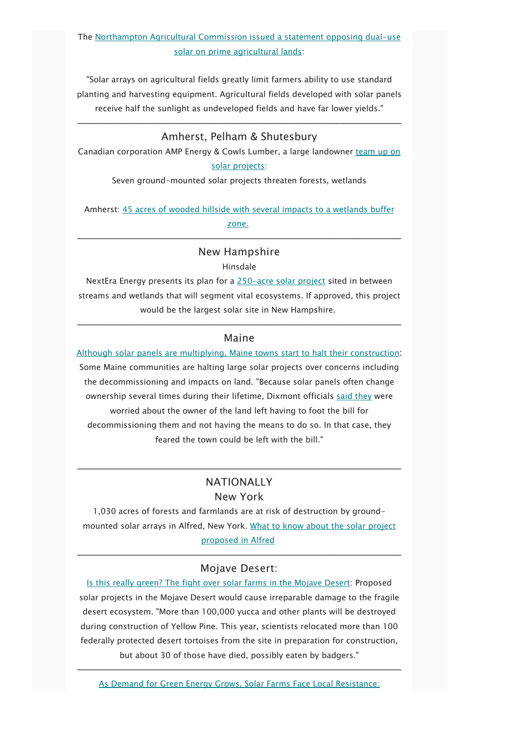# The [Northampton](https://drive.google.com/file/d/1RsXhYZu-Rr4iWecfBhaMc5rSRyzUNw1m/view?usp=sharing) Agricultural Commission issued a statement opposing dual-use solar on prime [agricultural](https://drive.google.com/file/d/1RsXhYZu-Rr4iWecfBhaMc5rSRyzUNw1m/view?usp=sharing) lands:

"Solar arrays on agricultural fields greatly limit farmers ability to use standard planting and harvesting equipment. Agricultural fields developed with solar panels receive half the sunlight as undeveloped fields and have far lower yields."

# ––––––––––––––––––––––––––––––––––––––––––––––––––––––––––––––– Amherst, Pelham & Shutesbury

Canadian corporation AMP Energy & Cowls Lumber, a large landowner [team](https://apnews.com/article/ontario-massachusetts-cc36740f4de81f651b84d9a838582f30) up on solar [projects:](https://apnews.com/article/ontario-massachusetts-cc36740f4de81f651b84d9a838582f30)

Seven ground-mounted solar projects threaten forests, wetlands

Amherst: 45 acres of wooded hillside with several impacts to a [wetlands](https://www.amherstbulletin.com/Amherst-solar-project-proposed-near-Shutesbury-town-line-43444280) buffer [zone.](https://www.amherstbulletin.com/Amherst-solar-project-proposed-near-Shutesbury-town-line-43444280)

# ––––––––––––––––––––––––––––––––––––––––––––––––––––––––––––––– New Hampshire

Hinsdale

NextEra Energy presents its plan for a [250-acre](https://www.reformer.com/local-news/hinsdale-solar-project-would-be-largest-in-state/article_d948adce-30de-11ec-ad5c-e707b4d23e45.html) solar project sited in between streams and wetlands that will segment vital ecosystems. If approved, this project would be the largest solar site in New Hampshire.

## ––––––––––––––––––––––––––––––––––––––––––––––––––––––––––––––– Maine

Although solar panels are multiplying, Maine towns start to halt their [construction](https://www.mainepublic.org/environment-and-outdoors/2021-11-01/although-solar-panels-are-multiplying-maine-towns-start-to-halt-their-construction?utm_source=Energy News Network daily email digests&utm_campaign=d0e11eda79-EMAIL_CAMPAIGN_2020_05_11_11_42_COPY_01&utm_medium=email&utm_term=0_724b1f01f5-d0e11eda79-89265411): Some Maine communities are halting large solar projects over concerns including the decommissioning and impacts on land. "Because solar panels often change ownership several times during their lifetime, Dixmont officials said [they](https://bangordailynews.com/2021/09/22/news/bangor/dixmont-considers-temporary-ban-on-solar-arrays/) were worried about the owner of the land left having to foot the bill for decommissioning them and not having the means to do so. In that case, they feared the town could be left with the bill."

## ––––––––––––––––––––––––––––––––––––––––––––––––––––––––––––––– **NATIONALLY**

#### New York

1,030 acres of forests and farmlands are at risk of destruction by groundmounted solar arrays in Alfred, New York. What to know about the solar [project](https://www.eveningtribune.com/story/business/2021/11/01/alfred-solar-project-what-to-know-taxes-wildlife-environment/6191448001/?utm_source=Energy News Network daily email digests&utm_campaign=d0e11eda79-EMAIL_CAMPAIGN_2020_05_11_11_42_COPY_01&utm_medium=email&utm_term=0_724b1f01f5-d0e11eda79-89265411) [proposed](https://www.eveningtribune.com/story/business/2021/11/01/alfred-solar-project-what-to-know-taxes-wildlife-environment/6191448001/?utm_source=Energy News Network daily email digests&utm_campaign=d0e11eda79-EMAIL_CAMPAIGN_2020_05_11_11_42_COPY_01&utm_medium=email&utm_term=0_724b1f01f5-d0e11eda79-89265411) in Alfred

## ––––––––––––––––––––––––––––––––––––––––––––––––––––––––––––––– Mojave Desert:

Is this really green? The fight over solar farms in the [Mojave](https://www.msn.com/en-us/weather/topstories/is-this-really-green-the-fight-over-solar-farms-in-the-mojave-desert/ar-AAQgzTn) Desert: Proposed solar projects in the Mojave Desert would cause irreparable damage to the fragile desert ecosystem. "More than 100,000 yucca and other plants will be destroyed during construction of Yellow Pine. This year, scientists relocated more than 100 federally protected desert tortoises from the site in preparation for construction, but about 30 of those have died, possibly eaten by badgers."